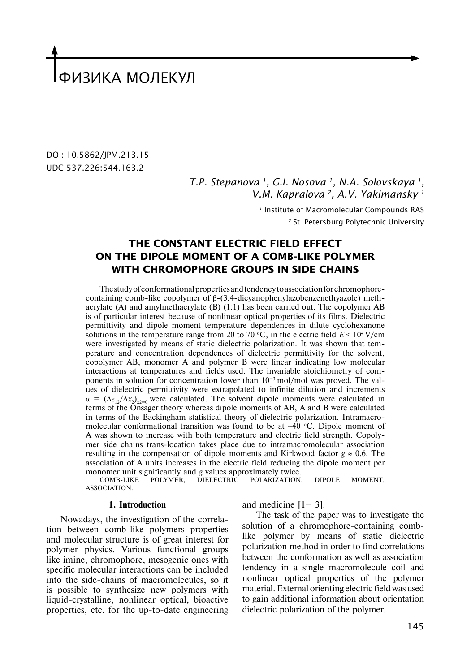# ФИЗИКА МОЛЕКУЛ

DOI: 10.5862/JPM.213.15 UDC 537.226:544.163.2

> *T.P. Stepanova 1, G.I. Nosova 1, N.A. Solovskaya 1, V.M. Kapralova 2, A.V. Yakimansky 1*

> > *<sup>1</sup>* Institute of Macromolecular Compounds RAS *<sup>2</sup>* St. Petersburg Polytechnic University

## **THE Constant electric field EFFECT on the dipole moment of A comb-like polymer with chromophore groups in side chains**

The study of conformational properties and tendency to association for chromophorecontaining comb-like copolymer of β-(3,4-dicyanophenylazobenzenethyazole) methacrylate (A) and amylmethacrylate (B) (1:1) has been carried out. The copolymer AB is of particular interest because of nonlinear optical properties of its films. Dielectric permittivity and dipole moment temperature dependences in dilute cyclohexanone solutions in the temperature range from 20 to 70 °C, in the electric field  $E \le 10^4$  V/cm were investigated by means of static dielectric polarization. It was shown that temperature and concentration dependences of dielectric permittivity for the solvent, copolymer AB, monomer A and polymer B were linear indicating low molecular interactions at temperatures and fields used. The invariable stoichiometry of components in solution for concentration lower than  $10^{-3}$  mol/mol was proved. The values of dielectric permittivity were extrapolated to infinite dilution and increments  $\alpha = (\Delta \varepsilon_{12}/\Delta x_2)_{x=0}$  were calculated. The solvent dipole moments were calculated in terms of the Onsager theory whereas dipole moments of AB, A and B were calculated in terms of the Backingham statistical theory of dielectric polarization. Intramacromolecular conformational transition was found to be at ~40 °C. Dipole moment of A was shown to increase with both temperature and electric field strength. Copolymer side chains trans-location takes place due to intramacromolecular association resulting in the compensation of dipole moments and Kirkwood factor  $g \approx 0.6$ . The association of A units increases in the electric field reducing the dipole moment per monomer unit significantly and *g* values approximately twice.<br>COMB-LIKE POLYMER, DIELECTRIC POLARIZATION,

POLARIZATION, DIPOLE MOMENT, ASSOCIATION.

### **1. Introduction**

Nowadays, the investigation of the correlation between comb-like polymers properties and molecular structure is of great interest for polymer physics. Various functional groups like imine, chromophore, mesogenic ones with specific molecular interactions can be included into the side-chains of macromolecules, so it is possible to synthesize new polymers with liquid-crystalline, nonlinear optical, bioactive properties, etc. for the up-to-date engineering and medicine  $[1-3]$ .

The task of the paper was to investigate the solution of a chromophore-containing comblike polymer by means of static dielectric polarization method in order to find correlations between the conformation as well as association tendency in a single macromolecule coil and nonlinear optical properties of the polymer material. External orienting electric field was used to gain additional information about orientation dielectric polarization of the polymer.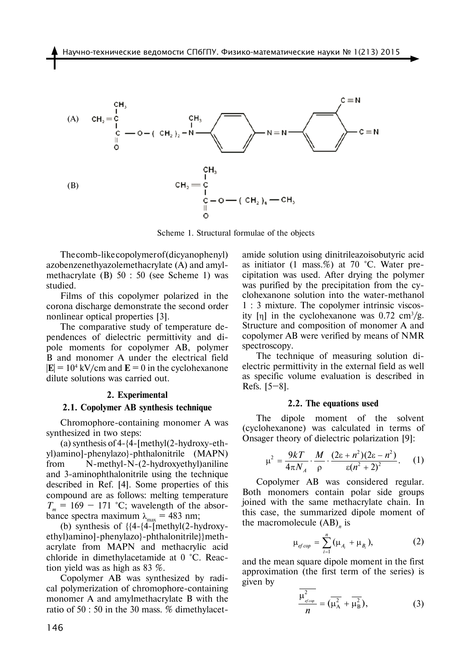

Scheme 1. Structural formulae of the objects

The comb-like copolymer of (dicyanophenyl) azobenzenethyazolemethacrylate (A) and amylmethacrylate (B) 50 : 50 (see Scheme 1) was studied.

Films of this copolymer polarized in the corona discharge demonstrate the second order nonlinear optical properties [3].

The comparative study of temperature dependences of dielectric permittivity and dipole moments for copolymer AB, polymer B and monomer A under the electrical field  $|\mathbf{E}| = 10^4$  kV/cm and  $\mathbf{E} = 0$  in the cyclohexanone dilute solutions was carried out.

#### **2. Experimental**

#### **2.1. Copolymer AB synthesis technique**

Chromophore-containing monomer A was synthesized in two steps:

(a) synthesis of 4-{4-[methyl(2-hydroxy-ethyl)amino]-phenylazo}-phthalonitrile (MAPN) from N-methyl-N-(2-hydroxyethyl)aniline and 3-aminophthalonitrile using the technique described in Ref. [4]. Some properties of this compound are as follows: melting temperature  $T_m = 169 - 171$  °C; wavelength of the absorbance spectra maximum  $\lambda_{\text{max}} = 483 \text{ nm}$ ;

(b) synthesis of {{4-{4-[methyl(2-hydroxyethyl)amino]-phenylazo}-phthalonitrile}}methacrylate from MAPN and methacrylic acid chloride in dimethylacetamide at 0 °С. Reaction yield was as high as 83 %.

Copolymer AB was synthesized by radical polymerization of chromophore-containing monomer A and amylmethacrylate B with the ratio of 50 : 50 in the 30 mass. % dimethylacetamide solution using dinitrileazoisobutyric acid as initiator (1 mass.%) at 70 °С. Water precipitation was used. After drying the polymer was purified by the precipitation from the cyclohexanone solution into the water-methanol 1 : 3 mixture. The copolymer intrinsic viscosity [η] in the cyclohexanone was  $0.72 \text{ cm}^3/\text{g}$ . Structure and composition of monomer A and copolymer AB were verified by means of NMR spectroscopy.

The technique of measuring solution dielectric permittivity in the external field as well as specific volume evaluation is described in Refs.  $[5-8]$ .

#### **2.2. The equations used**

The dipole moment of the solvent (cyclohexanone) was calculated in terms of Onsager theory of dielectric polarization [9]:

$$
\mu^2 = \frac{9kT}{4\pi N_A} \cdot \frac{M}{\rho} \cdot \frac{(2\epsilon + n^2)(2\epsilon - n^2)}{\epsilon (n^2 + 2)^2}.
$$
 (1)

Copolymer AB was considered regular. Both monomers contain polar side groups joined with the same methacrylate chain. In this case, the summarized dipole moment of the macromolecule (AB)<sub>n</sub> is

$$
\mu_{efcop} = \sum_{i=1}^{n} (\mu_{A_i} + \mu_{B_i}), \qquad (2)
$$

and the mean square dipole moment in the first approximation (the first term of the series) is given by

$$
\frac{\mu_{\text{group}}^2}{n} = (\overline{\mu_A^2} + \overline{\mu_B^2}),\tag{3}
$$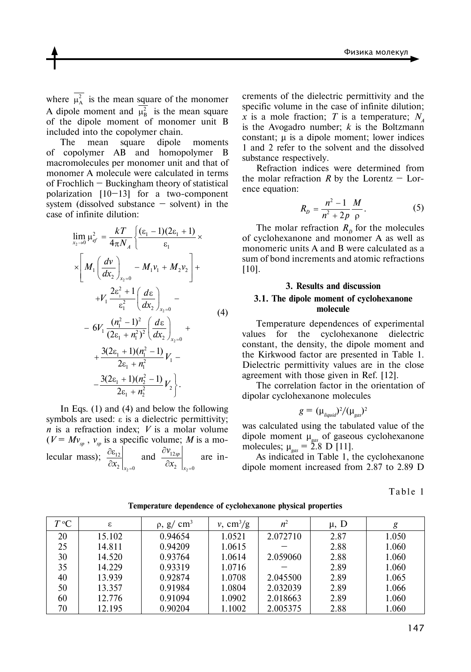where  $\mu_A^2$  is the mean square of the monomer A dipole moment and  $\mu_B^2$  is the mean square of the dipole moment of monomer unit B included into the copolymer chain.

The mean square dipole moments of copolymer AB and homopolymer B macromolecules per monomer unit and that of monomer A molecule were calculated in terms of Frochlich – Buckingham theory of statistical polarization [10–13] for a two-component system (dissolved substance  $-$  solvent) in the case of infinite dilution:

$$
\lim_{x_2 \to 0} \mu_{ef}^2 = \frac{kT}{4\pi N_A} \left\{ \frac{(\varepsilon_1 - 1)(2\varepsilon_1 + 1)}{\varepsilon_1} \times \right. \n\times \left[ M_1 \left( \frac{d\nu}{dx_2} \right)_{x_2 = 0} - M_1 \nu_1 + M_2 \nu_2 \right] + \\ \n+ V_1 \frac{2\varepsilon_1^2 + 1}{\varepsilon_1^2} \left( \frac{d\varepsilon}{dx_2} \right)_{x_2 = 0} - \\ \n- 6V_1 \frac{(n_1^2 - 1)^2}{(2\varepsilon_1 + n_1^2)^2} \left( \frac{d\varepsilon}{dx_2} \right)_{x_2 = 0} + \\ \n+ \frac{3(2\varepsilon_1 + 1)(n_1^2 - 1)}{2\varepsilon_1 + n_1^2} V_1 - \\ \n- \frac{3(2\varepsilon_1 + 1)(n_2^2 - 1)}{2\varepsilon_1 + n_2^2} V_2 \left. \right\}.
$$

In Eqs. (1) and (4) and below the following symbols are used: ε is a dielectric permittivity; *n* is a refraction index; *V* is a molar volume  $(V = Mv_{\rm sp}^{\phantom{\dag}}, v_{\rm sp}^{\phantom{\dag}}$  is a specific volume; M is a molecular mass); 2 12  $x_2 \big|_{x_2=0}$ ∂ε ∂ and 2 12 2  $|x_2=0$ *sp x v*  $x_2 \big|_{x_2}$ ∂ ∂ are in-

crements of the dielectric permittivity and the specific volume in the case of infinite dilution; *x* is a mole fraction; *T* is a temperature;  $N_A$ is the Avogadro number; *k* is the Boltzmann constant; μ is a dipole moment; lower indices 1 and 2 refer to the solvent and the dissolved substance respectively.

Refraction indices were determined from the molar refraction *R* by the Lorentz – Lorence equation:

$$
R_{p} = \frac{n^{2} - 1}{n^{2} + 2p} \frac{M}{\rho}.
$$
 (5)

The molar refraction  $R_p$  for the molecules of cyclohexanone and monomer A as well as monomeric units A and B were calculated as a sum of bond increments and atomic refractions [10].

## **3. Results and discussion 3.1. The dipole moment of cyclohexanone molecule**

Temperature dependences of experimental values for the cyclohexanone dielectric constant, the density, the dipole moment and the Kirkwood factor are presented in Table 1. Dielectric permittivity values are in the close agreement with those given in Ref. [12].

The correlation factor in the orientation of dipolar cyclohexanone molecules

$$
g=(\mu_{\text{liquid}})^2/(\mu_{\text{gas}})^2
$$

was calculated using the tabulated value of the dipole moment µ*gas* of gaseous cyclohexanone molecules;  $\mu_{gas} = 2.8 \text{ D} [11]$ .

As indicated in Table 1, the cyclohexanone dipole moment increased from 2.87 to 2.89 D

|  | abl |  |  | c |  |
|--|-----|--|--|---|--|
|--|-----|--|--|---|--|

| $T^{\,\mathrm{o}}$ C | ε      | $\rho$ , g/ cm <sup>3</sup> | $v, \text{ cm}^3/\text{g}$ | $n^2$    | $\mu$ , D | g     |
|----------------------|--------|-----------------------------|----------------------------|----------|-----------|-------|
| 20                   | 15.102 | 0.94654                     | 1.0521                     | 2.072710 | 2.87      | 1.050 |
| 25                   | 14.811 | 0.94209                     | 1.0615                     |          | 2.88      | 1.060 |
| 30                   | 14.520 | 0.93764                     | 1.0614                     | 2.059060 | 2.88      | 1.060 |
| 35                   | 14.229 | 0.93319                     | 1.0716                     |          | 2.89      | 1.060 |
| 40                   | 13.939 | 0.92874                     | 1.0708                     | 2.045500 | 2.89      | 1.065 |
| 50                   | 13.357 | 0.91984                     | 1.0804                     | 2.032039 | 2.89      | 1.066 |
| 60                   | 12.776 | 0.91094                     | 1.0902                     | 2.018663 | 2.89      | 1.060 |
| 70                   | 12.195 | 0.90204                     | 1.1002                     | 2.005375 | 2.88      | 1.060 |

**Temperature dependence of cyclohexanone physical properties**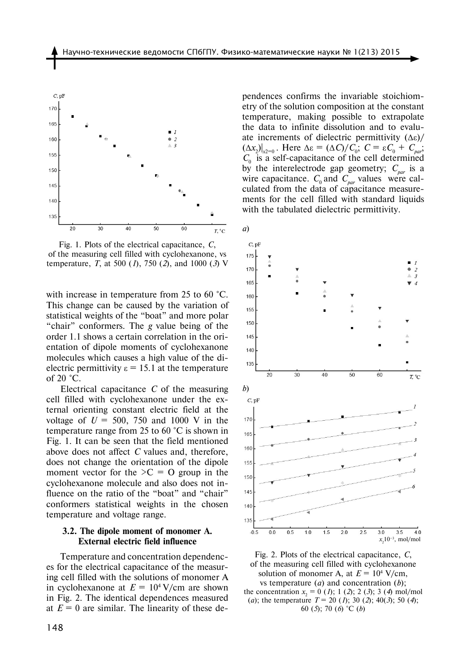

Fig. 1. Plots of the electrical capacitance, *C*, of the measuring cell filled with cyclohexanone, vs temperature, *T*, at 500 (*1*), 750 (*2*), and 1000 (*3*) V

with increase in temperature from 25 to 60 °C. This change can be caused by the variation of statistical weights of the "boat" and more polar "chair" conformers. The *g* value being of the order 1.1 shows a certain correlation in the orientation of dipole moments of cyclohexanone molecules which causes a high value of the dielectric permittivity  $\varepsilon = 15.1$  at the temperature of 20 °С.

Electrical capacitance *C* of the measuring cell filled with cyclohexanone under the external orienting constant electric field at the voltage of  $U = 500$ , 750 and 1000 V in the temperature range from 25 to 60 °С is shown in Fig. 1. It can be seen that the field mentioned above does not affect *C* values and, therefore, does not change the orientation of the dipole moment vector for the  $\geq C = O$  group in the cyclohexanone molecule and also does not influence on the ratio of the "boat" and "chair" conformers statistical weights in the chosen temperature and voltage range.

## **3.2. The dipole moment of monomer A. External electric field influence**

Temperature and concentration dependences for the electrical capacitance of the measuring cell filled with the solutions of monomer A in cyclohexanone at  $E = 10^4$  V/cm are shown in Fig. 2. The identical dependences measured at  $E = 0$  are similar. The linearity of these dependences confirms the invariable stoichiometry of the solution composition at the constant temperature, making possible to extrapolate the data to infinite dissolution and to evaluate increments of dielectric permittivity  $(\Delta \varepsilon)$ /  $(Δx<sub>2</sub>)|<sub>x2=0</sub>$ . Here Δε =  $(ΔC)/C<sub>0</sub>$ ;  $C = εC<sub>0</sub> + C<sub>par</sub>$ ;  $C_0$  is a self-capacitance of the cell determined by the interelectrode gap geometry;  $C_{\textit{par}}$  is a wire capacitance. *C*<sub>0</sub> and *C*<sub>par</sub> values were calculated from the data of capacitance measurements for the cell filled with standard liquids with the tabulated dielectric permittivity.



Fig. 2. Plots of the electrical capacitance, *C*, of the measuring cell filled with cyclohexanone solution of monomer A, at  $E = 10^4$  V/cm, vs temperature (*a*) and concentration (*b*); the concentration  $x_2 = 0$  (*I*); 1 (*2*); 2 (*3*); 3 (*4*) mol/mol (*a*); the temperature *T* = 20 (*1*); 30 (*2*); 40(*3*); 50 (*4*); 60 (*5*); 70 (*6*) °C (*b*)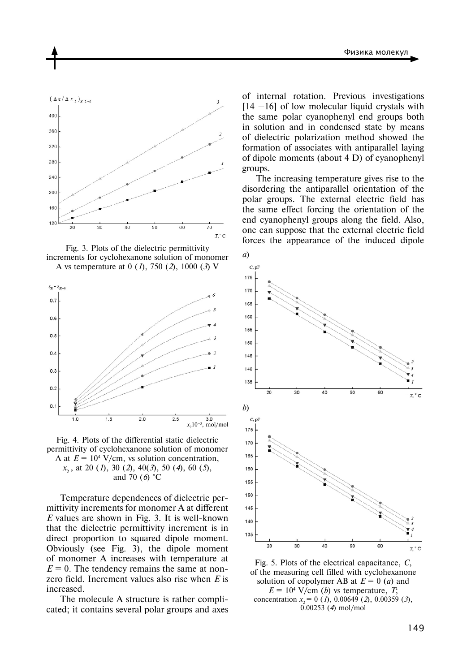

Fig. 3. Plots of the dielectric permittivity increments for cyclohexanone solution of monomer A vs temperature at 0 (*1*), 750 (*2*), 1000 (*3*) V



Fig. 4. Plots of the differential static dielectric permittivity of cyclohexanone solution of monomer A at  $E = 10<sup>4</sup>$  V/cm, vs solution concentration, *x*2 , at 20 (*1*), 30 (*2*), 40(*3*), 50 (*4*), 60 (*5*), and 70 (*6*) °C

Temperature dependences of dielectric permittivity increments for monomer A at different *Е* values are shown in Fig. 3. It is well-known that the dielectric permittivity increment is in direct proportion to squared dipole moment. Obviously (see Fig. 3), the dipole moment of monomer A increases with temperature at  $E = 0$ . The tendency remains the same at nonzero field. Increment values also rise when *E* is increased.

The molecule A structure is rather complicated; it contains several polar groups and axes

of internal rotation. Previous investigations  $[14 - 16]$  of low molecular liquid crystals with the same polar cyanophenyl end groups both in solution and in condensed state by means of dielectric polarization method showed the formation of associates with antiparallel laying of dipole moments (about 4 D) of cyanophenyl groups.

The increasing temperature gives rise to the disordering the antiparallel orientation of the polar groups. The external electric field has the same effect forcing the orientation of the end cyanophenyl groups along the field. Also, one can suppose that the external electric field forces the appearance of the induced dipole



Fig. 5. Plots of the electrical capacitance, *C*, of the measuring cell filled with cyclohexanone solution of copolymer AB at  $E = 0$  (*a*) and  $E = 10^4$  V/cm (*b*) vs temperature, *T*; concentration  $x_2 = 0$  (*1*), 0.00649 (*2*), 0.00359 (*3*), 0.00253 (*4*) mol/mol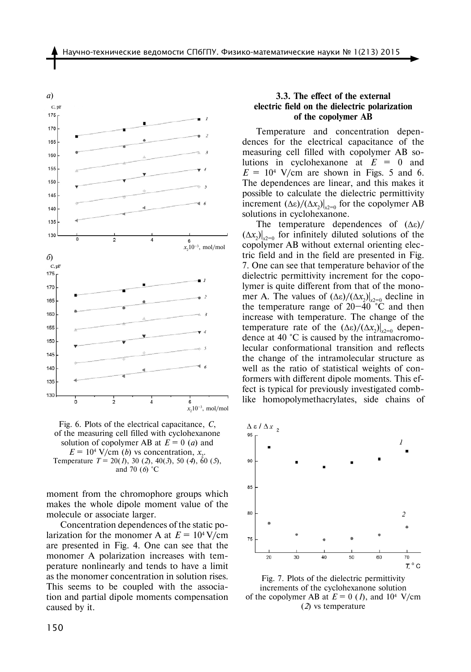

Fig. 6. Plots of the electrical capacitance, *C*, of the measuring cell filled with cyclohexanone solution of copolymer AB at  $E = 0$  (*a*) and  $E = 10^4$  V/cm (*b*) vs concentration,  $x_2$ . Temperature *T* = 20(*1*), 30 (*2*), 40(*3*), 50 (*4*), 60 (*5*), and 70 (*6*) °C

moment from the chromophore groups which makes the whole dipole moment value of the molecule or associate larger.

Concentration dependences of the static polarization for the monomer A at  $E = 10^4$  V/cm are presented in Fig. 4. One can see that the monomer A polarization increases with temperature nonlinearly and tends to have a limit as the monomer concentration in solution rises. This seems to be coupled with the association and partial dipole moments compensation caused by it.

## **3.3. The effect of the external electric field on the dielectric polarization of the copolymer AB**

Temperature and concentration dependences for the electrical capacitance of the measuring cell filled with copolymer AB solutions in cyclohexanone at *Е* = 0 and  $E = 10<sup>4</sup>$  V/cm are shown in Figs. 5 and 6. The dependences are linear, and this makes it possible to calculate the dielectric permittivity increment  $(Δε)/(Δx<sub>2</sub>)|<sub>x2=0</sub>$  for the copolymer AB solutions in cyclohexanone.

The temperature dependences of  $(\Delta \varepsilon)$ /  $(\Delta x_2)|_{x_2=0}$  for infinitely diluted solutions of the copolymer AB without external orienting electric field and in the field are presented in Fig. 7. One can see that temperature behavior of the dielectric permittivity increment for the copolymer is quite different from that of the monomer A. The values of  $(Δε)/(Δx<sub>2</sub>)|<sub>x2=0</sub>$  decline in the temperature range of  $20-\overline{40}$  °C and then increase with temperature. The change of the temperature rate of the  $(Δε)/(Δx<sub>2</sub>)|<sub>x2=0</sub>$  dependence at 40 °С is caused by the intramacromolecular conformational transition and reflects the change of the intramolecular structure as well as the ratio of statistical weights of conformers with different dipole moments. This effect is typical for previously investigated comblike homopolymethacrylates, side chains of



Fig. 7. Plots of the dielectric permittivity increments of the cyclohexanone solution of the copolymer AB at  $E = 0$  (1), and  $10^4$  V/cm (*2*) vs temperature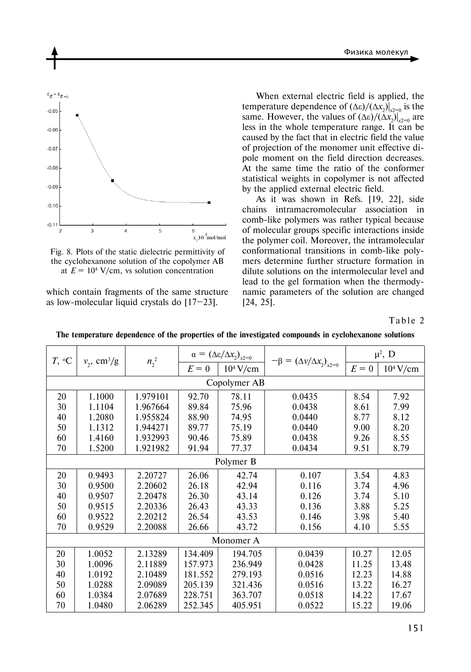

Fig. 8. Plots of the static dielectric permittivity of the cyclohexanone solution of the copolymer AB at  $E = 10<sup>4</sup>$  V/cm, vs solution concentration

which contain fragments of the same structure as low-molecular liquid crystals do [17–23].

When external electric field is applied, the temperature dependence of  $(\Delta \varepsilon)/(\Delta x_2)|_{x_2=0}$  is the same. However, the values of  $(\Delta \varepsilon)/(\Delta x_2)|_{x^2=0}$  are less in the whole temperature range. It can be caused by the fact that in electric field the value of projection of the monomer unit effective dipole moment on the field direction decreases. At the same time the ratio of the conformer statistical weights in copolymer is not affected by the applied external electric field.

As it was shown in Refs. [19, 22], side chains intramacromolecular association in comb-like polymers was rather typical because of molecular groups specific interactions inside the polymer coil. Moreover, the intramolecular conformational transitions in comb-like polymers determine further structure formation in dilute solutions on the intermolecular level and lead to the gel formation when the thermodynamic parameters of the solution are changed [24, 25].

Table 2

| $T, \,^{\circ}C$ | $v_2$ , cm <sup>3</sup> /g | $n_2^2$  | $\alpha=\left(\Delta\epsilon/\Delta x_2\right)_{x2=0}$ |             | $-\beta = (\Delta v/\Delta x_2)_{x2=0}$ | $\mu^2$ , D |             |  |
|------------------|----------------------------|----------|--------------------------------------------------------|-------------|-----------------------------------------|-------------|-------------|--|
|                  |                            |          | $E=0$                                                  | $10^4$ V/cm |                                         | $E=0$       | $10^4$ V/cm |  |
| Copolymer AB     |                            |          |                                                        |             |                                         |             |             |  |
| 20               | 1.1000                     | 1.979101 | 92.70                                                  | 78.11       | 0.0435                                  | 8.54        | 7.92        |  |
| 30               | 1.1104                     | 1.967664 | 89.84                                                  | 75.96       | 0.0438                                  | 8.61        | 7.99        |  |
| 40               | 1.2080                     | 1.955824 | 88.90                                                  | 74.95       | 0.0440                                  | 8.77        | 8.12        |  |
| 50               | 1.1312                     | 1.944271 | 89.77                                                  | 75.19       | 0.0440                                  | 9.00        | 8.20        |  |
| 60               | 1.4160                     | 1.932993 | 90.46                                                  | 75.89       | 0.0438                                  | 9.26        | 8.55        |  |
| 70               | 1.5200                     | 1.921982 | 91.94                                                  | 77.37       | 0.0434                                  | 9.51        | 8.79        |  |
| Polymer B        |                            |          |                                                        |             |                                         |             |             |  |
| 20               | 0.9493                     | 2.20727  | 26.06                                                  | 42.74       | 0.107                                   | 3.54        | 4.83        |  |
| 30               | 0.9500                     | 2.20602  | 26.18                                                  | 42.94       | 0.116                                   | 3.74        | 4.96        |  |
| 40               | 0.9507                     | 2.20478  | 26.30                                                  | 43.14       | 0.126                                   | 3.74        | 5.10        |  |
| 50               | 0.9515                     | 2.20336  | 26.43                                                  | 43.33       | 0.136                                   | 3.88        | 5.25        |  |
| 60               | 0.9522                     | 2.20212  | 26.54                                                  | 43.53       | 0.146                                   | 3.98        | 5.40        |  |
| 70               | 0.9529                     | 2.20088  | 26.66                                                  | 43.72       | 0.156                                   | 4.10        | 5.55        |  |
| Monomer A        |                            |          |                                                        |             |                                         |             |             |  |
| 20               | 1.0052                     | 2.13289  | 134.409                                                | 194.705     | 0.0439                                  | 10.27       | 12.05       |  |
| 30               | 1.0096                     | 2.11889  | 157.973                                                | 236.949     | 0.0428                                  | 11.25       | 13.48       |  |
| 40               | 1.0192                     | 2.10489  | 181.552                                                | 279.193     | 0.0516                                  | 12.23       | 14.88       |  |
| 50               | 1.0288                     | 2.09089  | 205.139                                                | 321.436     | 0.0516                                  | 13.22       | 16.27       |  |
| 60               | 1.0384                     | 2.07689  | 228.751                                                | 363.707     | 0.0518                                  | 14.22       | 17.67       |  |
| 70               | 1.0480                     | 2.06289  | 252.345                                                | 405.951     | 0.0522                                  | 15.22       | 19.06       |  |

**The temperature dependence of the properties of the investigated compounds in cyclohexanone solutions**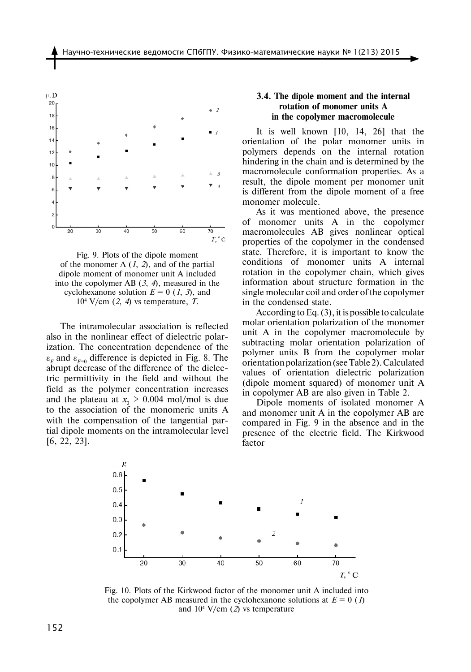

Fig. 9. Plots of the dipole moment of the monomer A (*1*, *2*), and of the partial dipole moment of monomer unit A included into the copolymer AB (*3*, *4*), measured in the cyclohexanone solution  $E = 0$  (1, 3), and 104 V/cm (*2*, *4*) vs temperature, *T.*

The intramolecular association is reflected also in the nonlinear effect of dielectric polarization. The concentration dependence of the  $\varepsilon_F$  and  $\varepsilon_{F=0}$  difference is depicted in Fig. 8. The abrupt decrease of the difference of the dielectric permittivity in the field and without the field as the polymer concentration increases and the plateau at  $x_2 > 0.004$  mol/mol is due to the association of the monomeric units A with the compensation of the tangential partial dipole moments on the intramolecular level [6, 22, 23].

## **3.4. The dipole moment and the internal rotation of monomer units A in the copolymer macromolecule**

It is well known [10, 14, 26] that the orientation of the polar monomer units in polymers depends on the internal rotation hindering in the chain and is determined by the macromolecule conformation properties. As a result, the dipole moment per monomer unit is different from the dipole moment of a free monomer molecule.

As it was mentioned above, the presence of monomer units A in the copolymer macromolecules AB gives nonlinear optical properties of the copolymer in the condensed state. Therefore, it is important to know the conditions of monomer units A internal rotation in the copolymer chain, which gives information about structure formation in the single molecular coil and order of the copolymer in the condensed state.

According to Eq. (3), it is possible to calculate molar orientation polarization of the monomer unit A in the copolymer macromolecule by subtracting molar orientation polarization of polymer units B from the copolymer molar orientation polarization (see Table 2). Calculated values of orientation dielectric polarization (dipole moment squared) of monomer unit A in copolymer AB are also given in Table 2.

Dipole moments of isolated monomer A and monomer unit A in the copolymer AB are compared in Fig. 9 in the absence and in the presence of the electric field. The Kirkwood factor



Fig. 10. Plots of the Kirkwood factor of the monomer unit A included into the copolymer AB measured in the cyclohexanone solutions at  $E = 0$  (*1*) and 104 V/cm (*2*) vs temperature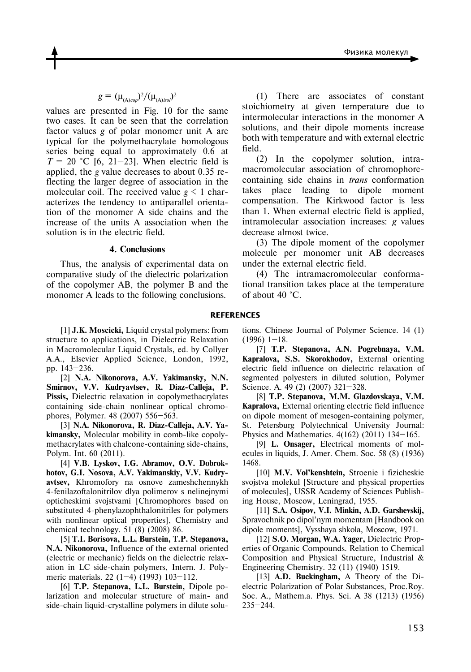$$
g = (\mu_{(A)cop})^2 / (\mu_{(A)iso})^2
$$

values are presented in Fig. 10 for the same two cases. It can be seen that the correlation factor values *g* of polar monomer unit A are typical for the polymethacrylate homologous series being equal to approximately 0.6 at  $T = 20$  °C [6, 21–23]. When electric field is applied, the *g* value decreases to about 0.35 reflecting the larger degree of association in the molecular coil. The received value  $g \leq 1$  characterizes the tendency to antiparallel orientation of the monomer A side chains and the increase of the units A association when the solution is in the electric field.

#### **4. Conclusions**

Thus, the analysis of experimental data on comparative study of the dielectric polarization of the copolymer AB, the polymer B and the monomer A leads to the following conclusions.

(1) There are associates of constant stoichiometry at given temperature due to intermolecular interactions in the monomer A solutions, and their dipole moments increase both with temperature and with external electric field.

(2) In the copolymer solution, intramacromolecular association of chromophorecontaining side chains in *trans* conformation takes place leading to dipole moment compensation. The Kirkwood factor is less than 1. When external electric field is applied, intramolecular association increases: *g* values decrease almost twice.

(3) The dipole moment of the copolymer molecule per monomer unit AB decreases under the external electric field.

(4) The intramacromolecular conformational transition takes place at the temperature of about 40 °С.

#### **REFERENCES**

[1] **J.K. Moscicki,** Liquid crystal polymers: from structure to applications, in Dielectric Relaxation in Macromolecular Liquid Crystals, ed. by Collyer A.A., Elsevier Applied Science, London, 1992, pp. 143–236.

[2] **N.A. Nikonorova, A.V. Yakimansky, N.N. Smirnov, V.V. Kudryavtsev, R. Diaz-Calleja, P. Pissis,** Dielectric relaxation in copolymethacrylates containing side-chain nonlinear optical chromophores, Polymer. 48 (2007) 556–563.

[3] **N.A. Nikonorova, R. Diaz-Calleja, A.V. Yakimansky,** Molecular mobility in comb-like copolymethacrylates with chalcone-containing side-chains, Polym. Int. 60 (2011).

[4] **V.B. Lyskov, I.G. Abramov, O.V. Dobrokhotov, G.I. Nosova, A.V. Yakimanskiy, V.V. Kudryavtsev,** Khromofory na osnove zameshchennykh 4-fenilazoftalonitrilov dlya polimerov s nelinejnymi opticheskimi svojstvami [Chromophores based on substituted 4-phenylazophthalonitriles for polymers with nonlinear optical properties], Chemistry and chemical technology. 51 (8) (2008) 86.

[5] **T.I. Borisova, L.L. Burstein, T.P. Stepanova, N.A. Nikonorova,** Influence of the external oriented (electric or mechanic) fields on the dielectric relaxation in LC side-chain polymers, Intern. J. Polymeric materials. 22 (1–4) (1993) 103–112.

[6] **T.P. Stepanova, L.L. Burstein,** Dipole polarization and molecular structure of main- and side-chain liquid-crystalline polymers in dilute solutions. Chinese Journal of Polymer Science. 14 (1)  $(1996)$  1–18.

[7] **T.P. Stepanova, A.N. Pogrebnaya, V.M. Kapralova, S.S. Skorokhodov,** External orienting electric field influence on dielectric relaxation of segmented polyesters in diluted solution, Polymer Science. A. 49 (2) (2007) 321–328.

[8] **T.P. Stepanova, M.M. Glazdovskaya, V.M. Kapralova,** External orienting electric field influence on dipole moment of mesogen-containing polymer, St. Petersburg Polytechnical University Journal: Physics and Mathematics. 4(162) (2011) 134–165.

[9] **L. Onsager,** Electrical moments of molecules in liquids, J. Amer. Chem. Soc. 58 (8) (1936) 1468.

[10] **M.V. Vol'kenshtein,** Stroenie i fizicheskie svojstva molekul [Structure and physical properties of molecules], USSR Academy of Sciences Publishing House, Moscow, Leningrad, 1955.

[11] **S.A. Osipov, V.I. Minkin, A.D. Garshevskij,**  Spravochnik po dipol'nym momentam [Handbook on dipole moments], Vysshaya shkola, Moscow, 1971.

[12] **S.O. Morgan, W.A. Yager,** Dielectric Properties of Organic Compounds. Relation to Chemical Composition and Physical Structure, Industrial & Engineering Chemistry. 32 (11) (1940) 1519.

[13] **A.D. Buckingham,** A Theory of the Dielectric Polarization of Polar Substances, Proc.Roy. Soc. A., Mathem.a. Phys. Sci. A 38 (1213) (1956) 235–244.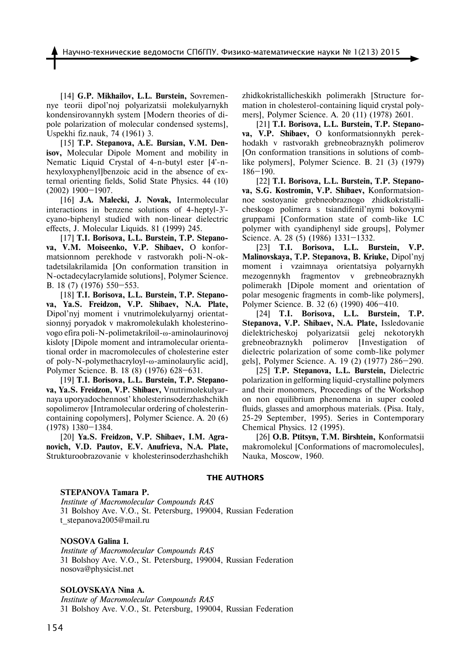[14] **G.P. Mikhailov, L.L. Burstein,** Sovremennye teorii dipol'noj polyarizatsii molekulyarnykh kondensirovannykh system [Modern theories of dipole polarization of molecular condensed systems], Uspekhi fiz.nauk, 74 (1961) 3.

[15] **T.P. Stepanova, A.E. Bursian, V.M. Denisov,** Molecular Dipole Moment and mobility in Nematic Liquid Crystal of 4-n-butyl ester [4'-nhexyloxyphenyl]benzoic acid in the absence of external orienting fields, Solid State Physics. 44 (10) (2002) 1900–1907.

[16] **J.A. Malecki, J. Novak,** Intermolecular interactions in benzene solutions of 4-heptyl-3' cyano-biphenyl studied with non-linear dielectric effects, J. Molecular Liquids. 81 (1999) 245.

[17] **T.I. Borisova, L.L. Burstein, T.P. Stepanova, V.M. Moiseenko, V.P. Shibaev,** O konformatsionnom perekhode v rastvorakh poli-N-oktadetsilakrilamida [On conformation transition in N-octadecylacrylamide solutions], Polymer Science. B. 18 (7) (1976) 550–553.

[18] **T.I. Borisova, L.L. Burstein, T.P. Stepanova, Ya.S. Freidzon, V.P. Shibaev, N.A. Plate,**  Dipol'nyj moment i vnutrimolekulyarnyj orientatsionnyj poryadok v makromolekulakh kholesterinovogo efira poli-N-polimetakriloil-ω-aminolaurinovoj kisloty [Dipole moment and intramolecular orientational order in macromolecules of cholesterine ester of poly-N-polymethacryloyl-ω-aminolaurylic acid], Polymer Science. B. 18 (8) (1976) 628–631.

[19] **T.I. Borisova, L.L. Burstein, T.P. Stepanova, Ya.S. Freidzon, V.P. Shibaev,** Vnutrimolekulyarnaya uporyadochennost' kholesterinsoderzhashchikh sopolimerov [Intramolecular ordering of cholesterincontaining copolymers], Polymer Science. A. 20 (6) (1978) 1380–1384.

[20] **Ya.S. Freidzon, V.P. Shibaev, I.M. Agranovich, V.D. Pautov, E.V. Anufrieva, N.A. Plate,**  Strukturoobrazovanie v kholesterinsoderzhashchikh zhidkokristallicheskikh polimerakh [Structure formation in cholesterol-containing liquid crystal polymers], Polymer Science. A. 20 (11) (1978) 2601.

[21] **T.I. Borisova, L.L. Burstein, T.P. Stepanova, V.P. Shibaev,** O konformatsionnykh perekhodakh v rastvorakh grebneobraznykh polimerov [On conformation transitions in solutions of comblike polymers], Polymer Science. B. 21 (3) (1979) 186–190.

[22] **T.I. Borisova, L.L. Burstein, T.P. Stepanova, S.G. Kostromin, V.P. Shibaev,** Konformatsionnoe sostoyanie grebneobraznogo zhidkokristallicheskogo polimera s tsiandifenil'nymi bokovymi gruppami [Conformation state of comb-like LC polymer with cyandiphenyl side groups], Polymer Science. A. 28 (5) (1986) 1331–1332.

[23] **T.I. Borisova, L.L. Burstein, V.P. Malinovskaya, T.P. Stepanova, B. Kriuke,** Dipol'nyj moment i vzaimnaya orientatsiya polyarnykh mezogennykh fragmentov v grebneobraznykh polimerakh [Dipole moment and orientation of polar mesogenic fragments in comb-like polymers], Polymer Science. B. 32 (6) (1990) 406–410.

[24] **T.I. Borisova, L.L. Burstein, T.P. Stepanova, V.P. Shibaev, N.A. Plate,** Issledovanie dielektricheskoj polyarizatsii gelej nekotorykh grebneobraznykh polimerov [Investigation of dielectric polarization of some comb-like polymer gels], Polymer Science. A. 19 (2) (1977) 286–290.

[25] **T.P. Stepanova, L.L. Burstein,** Dielectric polarization in gelforming liquid-crystalline polymers and their monomers, Proceedings of the Workshop on non equilibrium phenomena in super cooled fluids, glasses and amorphous materials. (Pisa. Italy, 25-29 September, 1995). Series in Contemporary Chemical Physics. 12 (1995).

[26] **O.B. Ptitsyn, T.M. Birshtein,** Konformatsii makromolekul [Conformations of macromolecules], Nauka, Moscow, 1960.

#### **the authors**

#### **STEPANOVA Tamara P.**

*Institute of Macromolecular Compounds RAS* 31 Bolshoy Ave. V.O., St. Petersburg, 199004, Russian Federation t\_stepanova2005@mail.ru

#### **NOSOVA Galina I.**

*Institute of Macromolecular Compounds RAS* 31 Bolshoy Ave. V.O., St. Petersburg, 199004, Russian Federation nosova@physicist.net

#### **SOLOVSKAYA Nina A.**

*Institute of Macromolecular Compounds RAS* 31 Bolshoy Ave. V.O., St. Petersburg, 199004, Russian Federation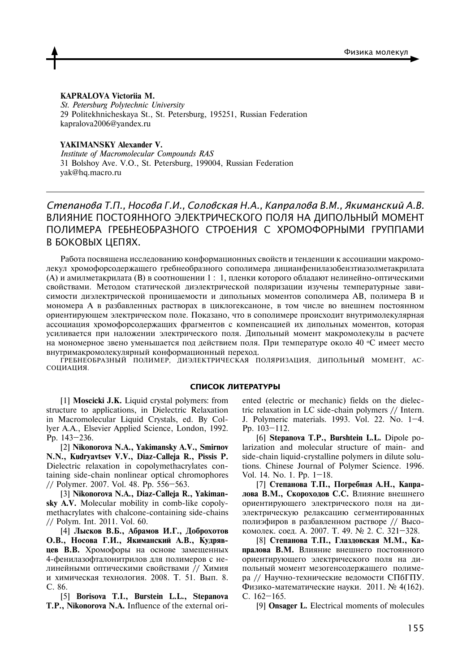#### **KAPRALOVA Victoriia M.**

*St. Petersburg Polytechnic University* 29 Politekhnicheskaya St., St. Petersburg, 195251, Russian Federation kapralova2006@yandex.ru

**YAKIMANSKY Alexander V.**

*Institute of Macromolecular Compounds RAS* 31 Bolshoy Ave. V.O., St. Petersburg, 199004, Russian Federation yak@hq.macro.ru

*Степанова Т.П., Носова Г.И., Соловская Н.А., Капралова В.М., Якиманский А.В.*  Влияние постоянного электрического поля на дипольный момент полимера гребнеобразного строения с хромофорными группами в боковых цепях.

Работа посвящена исследованию конформационных свойств и тенденции к ассоциации макромолекул хромофорсодержащего гребнеобразного сополимера дицианфенилазобензтиазолметакрилата (А) и амилметакрилата (В) в соотношении 1 : 1, пленки которого обладают нелинейно-оптическими свойствами. Методом статической диэлектрической поляризации изучены температурные зависимости диэлектрической проницаемости и дипольных моментов сополимера АВ, полимера В и мономера А в разбавленных растворах в циклогексаноне, в том числе во внешнем постоянном ориентирующем электрическом поле. Показано, что в сополимере происходит внутримолекулярная ассоциация хромофорсодержащих фрагментов с компенсацией их дипольных моментов, которая усиливается при наложении электрического поля. Дипольный момент макромолекулы в расчете на мономерное звено уменьшается под действием поля. При температуре около 40 °C имеет место внутримакромолекулярный конформационный переход.

гребнеобразный полимер, диэлектрическая поляризация, дипольный момент, ассоциация.

#### **СПИСОК ЛИТЕРАТУРЫ**

[1] **Moscicki J.K.** Liquid crystal polymers: from structure to applications, in Dielectric Relaxation in Macromolecular Liquid Crystals, ed. By Collyer A.A., Elsevier Applied Science, London, 1992. Pp. 143–236.

[2] **Nikonorova N.A., Yakimansky A.V., Smirnov N.N., Kudryavtsev V.V., Diaz-Calleja R., Pissis P.** Dielectric relaxation in copolymethacrylates containing side-chain nonlinear optical chromophores // Polymer. 2007. Vol. 48. Pp. 556–563.

[3] **Nikonorova N.A., Diaz-Calleja R., Yakimansky A.V.** Molecular mobility in comb-like copolymethacrylates with chalcone-containing side-chains // Polym. Int. 2011. Vol. 60.

[4] **Лысков В.Б., Абрамов И.Г., Доброхотов О.В., Носова Г.И., Якиманский А.В., Кудрявцев В.В.** Хромофоры на основе замещенных 4-фенилазофталонитрилов для полимеров с нелинейными оптическими свойствами // Химия и химическая технология. 2008. Т. 51. Вып. 8. С. 86.

[5] **Borisova T.I., Burstein L.L., Stepanova T.P., Nikonorova N.A.** Influence of the external oriented (electric or mechanic) fields on the dielectric relaxation in LC side-chain polymers // Intern. J. Polymeric materials. 1993. Vol. 22. No. 1–4. Pp. 103–112.

[6] **Stepanova T.P., Burshtein L.L.** Dipole polarization and molecular structure of main- and side-chain liquid-crystalline polymers in dilute solutions. Chinese Journal of Polymer Science. 1996. Vol. 14. No. 1. Pp. 1–18.

[7] **Степанова Т.П., Погребная A.Н., Капралова В.М., Cкороходов C.C.** Влияние внешнего ориентирующего электрического поля на диэлектрическую релаксацию сегментированных полиэфиров в разбавленном растворе // Высокомолек. соед. А. 2007. Т. 49. № 2. С. 321–328.

[8] **Степанова Т.П., Глаздовская М.М., Капралова В.М.** Влияние внешнего постоянного ориентирующего электрического поля на дипольный момент мезогенсодержащего полимера // Научно-технические ведомости СПбГПУ. Физико-математические науки. 2011. № 4(162). С. 162–165.

[9] **Onsager L.** Electrical moments of molecules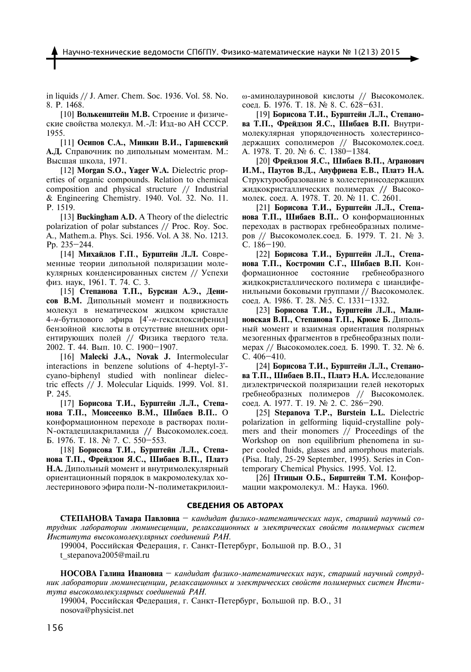in liquids // J. Amer. Chem. Soc. 1936. Vol. 58. No. 8. P. 1468.

[10] **Волькенштейн М.В.** Строение и физические свойства молекул. М.-Л: Изд-во АН СССР. 1955.

[11] **Осипов С.А., Минкин В.И., Гаршевский А.Д.** Справочник по дипольным моментам. М.: Высшая школа, 1971.

[12] **Morgan S.O., Yager W.A.** Dielectric properties of organic compounds. Relation to chemical composition and physical structure // Industrial & Engineering Chemistry. 1940. Vol. 32. No. 11. P. 1519.

[13] **Buckingham A.D.** A Theory of the dielectric polarization of polar substances // Proc. Roy. Soc. A., Mathem.a. Phys. Sci. 1956. Vol. A 38. No. 1213. Pp. 235–244.

[14] **Михайлов Г.П**.**, Бурштейн Л.Л.** Современные теории дипольной поляризации молекулярных конденсированных систем // Успехи физ. наук, 1961. Т. 74. С. 3.

[15] **Степанова T.П., Бурсиан А.Э., Денисов В.М.** Дипольный момент и подвижность молекул в нематическом жидком кристалле 4-*н*-бутилового эфира [4'-*н*-гексилоксифенил] бензойной кислоты в отсутствие внешних ориентирующих полей // Физика твердого тела. 2002. Т. 44. Вып. 10. С. 1900–1907.

[16] **Malecki J.A., Novak J.** Intermolecular interactions in benzene solutions of 4-heptyl-3' cyano-biphenyl studied with nonlinear dielectric effects // J. Molecular Liquids. 1999. Vol. 81. P. 245.

[17] **Борисова Т.И., Бурштейн Л.Л., Степанова Т.П., Моисеенко В.М., Шибаев В.П..** О конформационном переходе в растворах поли-N-октадецилакриламида **//** Высокомолек.соед. Б. 1976. Т. 18. № 7. С. 550–553.

[18] **Борисова Т.И., Бурштейн Л.Л., Степанова Т.П., Фрейдзон Я.С., Шибаев В.П., Платэ Н.А.** Дипольный момент и внутримолекулярный ориентационный порядок в макромолекулах холестеринового эфира поли-N-полиметакрилоилω-аминолауриновой кислоты // Высокомолек. соед. Б. 1976. Т. 18. № 8. С. 628–631.

[19] **Борисова Т.И., Бурштейн Л.Л., Степанова Т.П., Фрейдзон Я.С., Шибаев В.П.** Внутримолекулярная упорядоченность холестеринсодержащих сополимеров // Высокомолек.соед. А. 1978. Т. 20. № 6. С. 1380–1384.

[20] **Фрейдзон Я.С., Шибаев В.П., Агранович И.М., Паутов В.Д., Ануфриева Е.В., Платэ Н.А.**  Структурообразование в холестеринсодержащих жидкокристаллических полимерах **//** Высокомолек. соед. А. 1978. Т. 20. № 11. С. 2601.

[21] **Борисова Т.И., Бурштейн Л.Л., Степанова Т.П., Шибаев В.П..** О конформационных переходах в растворах гребнеобразных полимеров // Высокомолек.соед. Б. 1979. Т. 21. № 3. С. 186–190.

[22] **Борисова Т.И., Бурштейн Л.Л., Степанова Т.П., Костромин С.Г., Шибаев В.П.** Конформационное состояние гребнеобразного жидкокристаллического полимера с циандифенильными боковыми группами // Высокомолек. соед. А. 1986. Т. 28. №5. С. 1331–1332.

[23] **Борисова Т.И., Бурштейн Л.Л., Малиновская В.П., Степанова Т.П., Крюке Б.** Дипольный момент и взаимная ориентация полярных мезогенных фрагментов в гребнеобразных полимерах // Высокомолек.соед. Б. 1990. Т. 32. № 6. С. 406–410.

[24] **Борисова Т.И., Бурштейн Л.Л., Степанова Т.П., Шибаев В.П., Платэ Н.А.** Исследование диэлектрической поляризации гелей некоторых гребнеобразных полимеров // Высокомолек. соед. А. 1977. Т. 19. № 2. С. 286–290.

[25] **Stepanova T.P., Burstein L.L.** Dielectric polarization in gelforming liquid-crystalline polymers and their monomers // Proceedings of the Workshop on non equilibrium phenomena in super cooled fluids, glasses and amorphous materials. (Pisa. Italy, 25-29 September, 1995). Series in Contemporary Chemical Physics. 1995. Vol. 12.

[26] **Птицын О.Б., Бирштейн Т.М.** Конформации макромолекул. М.: Hаука. 1960.

#### **Сведения об авторах**

**СТЕПАНОВА Тамара Павловна** – *кандидат физико-математических наук, cтарший научный сотрудник лаборатории люминесценции, релаксационных и электрических свойств полимерных систем Института высокомолекулярных соединений РАН.*

199004, Российская Федерация, г. Санкт-Петербург, Большой пр. В.О., 31 t\_stepanova2005@mail.ru

**НОСОВА Галина Ивановна** – *кандидат физико-математических наук, cтарший научный сотрудник лаборатории люминесценции, релаксационных и электрических свойств полимерных систем Института высокомолекулярных соединений РАН.*

199004, Российская Федерация, г. Санкт-Петербург, Большой пр. В.О., 31 nosova@physicist.net